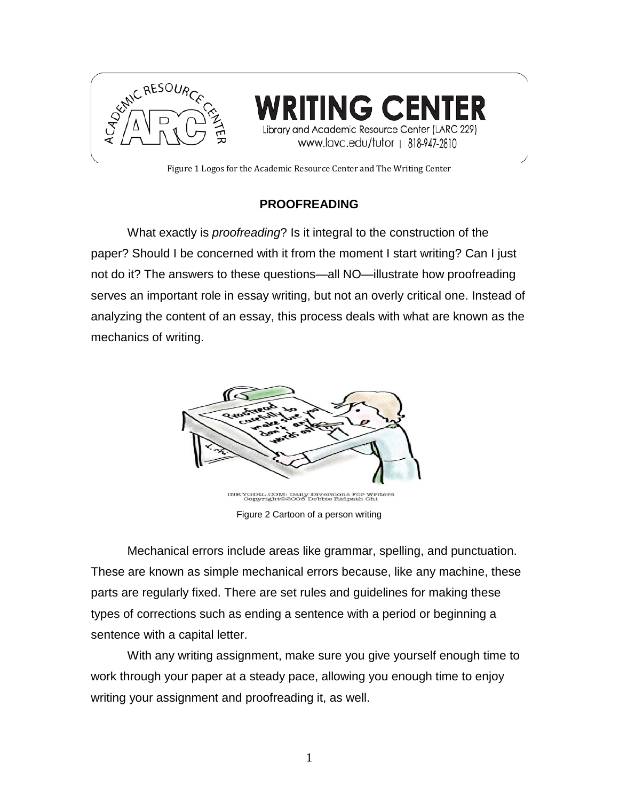

Library and Academic Resource Center (LARC 229) www.lavc.edu/tutor | 818-947-2810

Figure 1 Logos for the Academic Resource Center and The Writing Center

## **PROOFREADING**

What exactly is *proofreading*? Is it integral to the construction of the paper? Should I be concerned with it from the moment I start writing? Can I just not do it? The answers to these questions—all NO—illustrate how proofreading serves an important role in essay writing, but not an overly critical one. Instead of analyzing the content of an essay, this process deals with what are known as the mechanics of writing.



INKYGIRL.COM: Daily Diversions For Writers<br>Copyright@2008 Debbie Ridpath Ohi Figure 2 Cartoon of a person writing

Mechanical errors include areas like grammar, spelling, and punctuation. These are known as simple mechanical errors because, like any machine, these parts are regularly fixed. There are set rules and guidelines for making these types of corrections such as ending a sentence with a period or beginning a sentence with a capital letter.

With any writing assignment, make sure you give yourself enough time to work through your paper at a steady pace, allowing you enough time to enjoy writing your assignment and proofreading it, as well.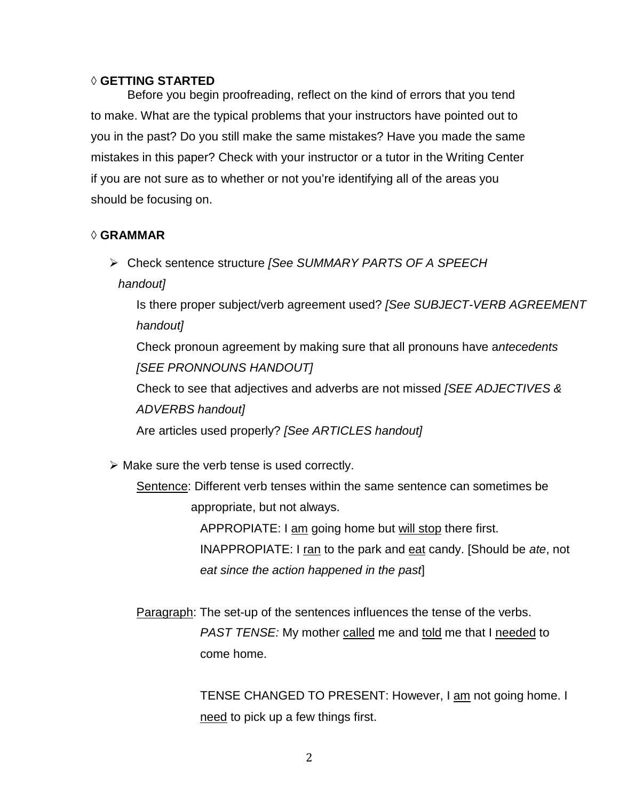#### ◊ **GETTING STARTED**

Before you begin proofreading, reflect on the kind of errors that you tend to make. What are the typical problems that your instructors have pointed out to you in the past? Do you still make the same mistakes? Have you made the same mistakes in this paper? Check with your instructor or a tutor in the Writing Center if you are not sure as to whether or not you're identifying all of the areas you should be focusing on.

### ◊ **GRAMMAR**

Check sentence structure *[See SUMMARY PARTS OF A SPEECH* 

*handout]*

Is there proper subject/verb agreement used? *[See SUBJECT-VERB AGREEMENT handout]*

Check pronoun agreement by making sure that all pronouns have a*ntecedents [SEE PRONNOUNS HANDOUT]*

Check to see that adjectives and adverbs are not missed *[SEE ADJECTIVES & ADVERBS handout]*

Are articles used properly? *[See ARTICLES handout]*

 $\triangleright$  Make sure the verb tense is used correctly.

Sentence: Different verb tenses within the same sentence can sometimes be appropriate, but not always.

> APPROPIATE: I am going home but will stop there first. INAPPROPIATE: I ran to the park and eat candy. [Should be *ate*, not *eat since the action happened in the past*]

Paragraph: The set-up of the sentences influences the tense of the verbs. *PAST TENSE:* My mother called me and told me that I needed to come home.

> TENSE CHANGED TO PRESENT: However, I am not going home. I need to pick up a few things first.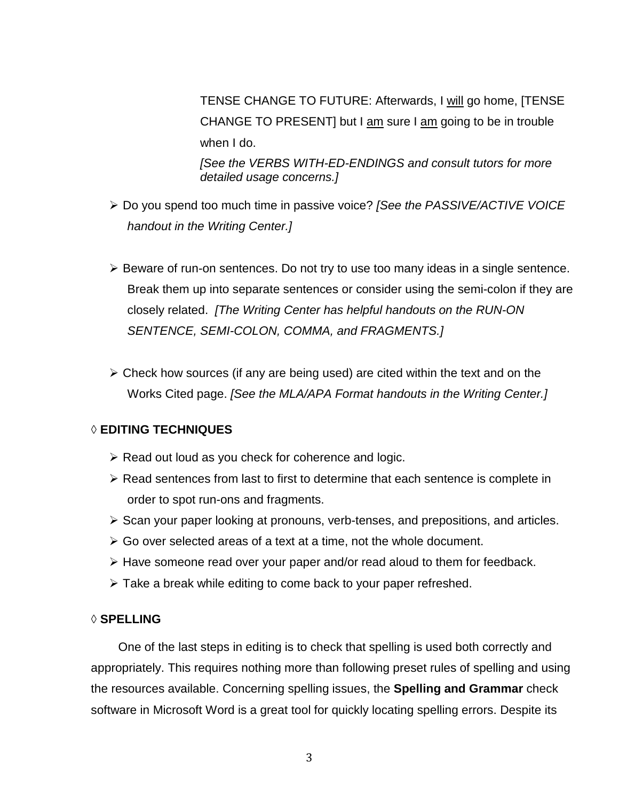TENSE CHANGE TO FUTURE: Afterwards, I will go home, [TENSE CHANGE TO PRESENT] but I am sure I am going to be in trouble when I do.

*[See the VERBS WITH-ED-ENDINGS and consult tutors for more detailed usage concerns.]*

- Do you spend too much time in passive voice? *[See the PASSIVE/ACTIVE VOICE handout in the Writing Center.]*
- $\triangleright$  Beware of run-on sentences. Do not try to use too many ideas in a single sentence. Break them up into separate sentences or consider using the semi-colon if they are closely related. *[The Writing Center has helpful handouts on the RUN-ON SENTENCE, SEMI-COLON, COMMA, and FRAGMENTS.]*
- $\triangleright$  Check how sources (if any are being used) are cited within the text and on the Works Cited page. *[See the MLA/APA Format handouts in the Writing Center.]*

## ◊ **EDITING TECHNIQUES**

- $\triangleright$  Read out loud as you check for coherence and logic.
- $\triangleright$  Read sentences from last to first to determine that each sentence is complete in order to spot run-ons and fragments.
- $\triangleright$  Scan your paper looking at pronouns, verb-tenses, and prepositions, and articles.
- $\triangleright$  Go over selected areas of a text at a time, not the whole document.
- $\triangleright$  Have someone read over your paper and/or read aloud to them for feedback.
- $\triangleright$  Take a break while editing to come back to your paper refreshed.

### ◊ **SPELLING**

One of the last steps in editing is to check that spelling is used both correctly and appropriately. This requires nothing more than following preset rules of spelling and using the resources available. Concerning spelling issues, the **Spelling and Grammar** check software in Microsoft Word is a great tool for quickly locating spelling errors. Despite its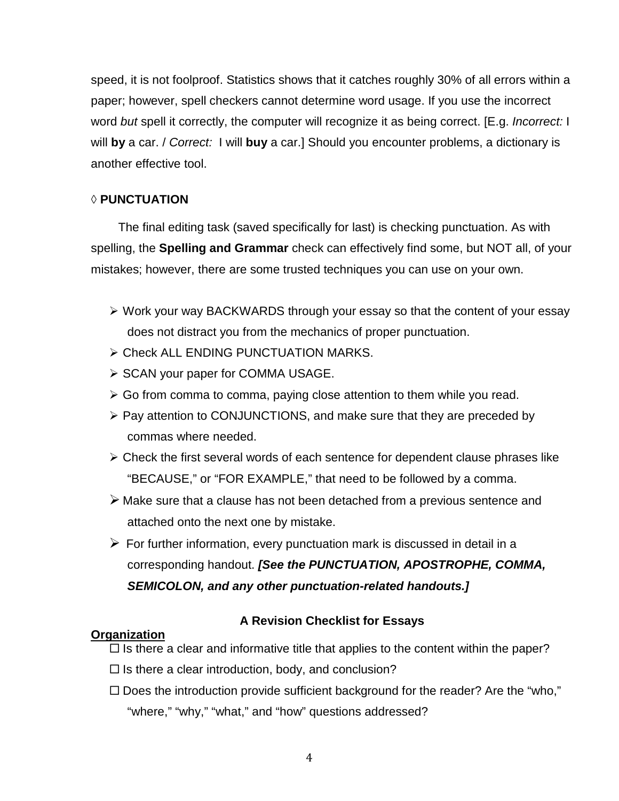speed, it is not foolproof. Statistics shows that it catches roughly 30% of all errors within a paper; however, spell checkers cannot determine word usage. If you use the incorrect word *but* spell it correctly, the computer will recognize it as being correct. [E.g. *Incorrect:* I will **by** a car. / *Correct:* I will **buy** a car.] Should you encounter problems, a dictionary is another effective tool.

## ◊ **PUNCTUATION**

The final editing task (saved specifically for last) is checking punctuation. As with spelling, the **Spelling and Grammar** check can effectively find some, but NOT all, of your mistakes; however, there are some trusted techniques you can use on your own.

- Work your way BACKWARDS through your essay so that the content of your essay does not distract you from the mechanics of proper punctuation.
- Check ALL ENDING PUNCTUATION MARKS.
- $\triangleright$  SCAN your paper for COMMA USAGE.
- $\triangleright$  Go from comma to comma, paying close attention to them while you read.
- $\triangleright$  Pay attention to CONJUNCTIONS, and make sure that they are preceded by commas where needed.
- $\triangleright$  Check the first several words of each sentence for dependent clause phrases like "BECAUSE," or "FOR EXAMPLE," that need to be followed by a comma.
- Make sure that a clause has not been detached from a previous sentence and attached onto the next one by mistake.
- $\triangleright$  For further information, every punctuation mark is discussed in detail in a corresponding handout. *[See the PUNCTUATION, APOSTROPHE, COMMA, SEMICOLON, and any other punctuation-related handouts.]*

## **Organization**

# **A Revision Checklist for Essays**

- $\Box$  Is there a clear and informative title that applies to the content within the paper?
- $\Box$  Is there a clear introduction, body, and conclusion?
- $\square$  Does the introduction provide sufficient background for the reader? Are the "who," "where," "why," "what," and "how" questions addressed?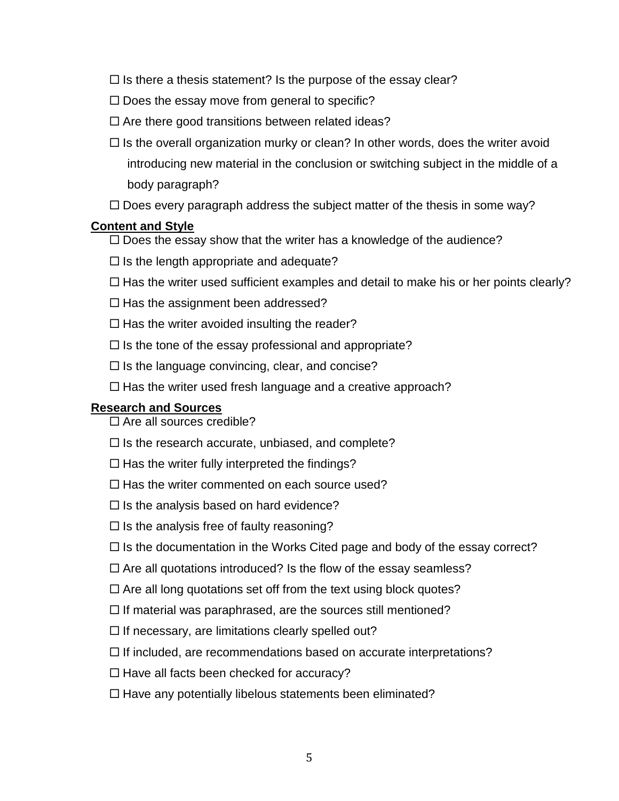- $\Box$  Is there a thesis statement? Is the purpose of the essay clear?
- $\square$  Does the essay move from general to specific?
- $\square$  Are there good transitions between related ideas?
- $\Box$  Is the overall organization murky or clean? In other words, does the writer avoid introducing new material in the conclusion or switching subject in the middle of a body paragraph?
- $\Box$  Does every paragraph address the subject matter of the thesis in some way?

### **Content and Style**

- $\Box$  Does the essay show that the writer has a knowledge of the audience?
- $\Box$  Is the length appropriate and adequate?
- $\Box$  Has the writer used sufficient examples and detail to make his or her points clearly?
- $\Box$  Has the assignment been addressed?
- $\Box$  Has the writer avoided insulting the reader?
- $\Box$  Is the tone of the essay professional and appropriate?
- $\Box$  Is the language convincing, clear, and concise?
- $\Box$  Has the writer used fresh language and a creative approach?

## **Research and Sources**

- $\Box$  Are all sources credible?
- $\square$  Is the research accurate, unbiased, and complete?
- $\Box$  Has the writer fully interpreted the findings?
- $\Box$  Has the writer commented on each source used?
- $\square$  Is the analysis based on hard evidence?
- $\Box$  Is the analysis free of faulty reasoning?
- $\Box$  Is the documentation in the Works Cited page and body of the essay correct?
- $\Box$  Are all quotations introduced? Is the flow of the essay seamless?
- $\Box$  Are all long quotations set off from the text using block quotes?
- $\Box$  If material was paraphrased, are the sources still mentioned?
- $\Box$  If necessary, are limitations clearly spelled out?
- $\Box$  If included, are recommendations based on accurate interpretations?
- $\Box$  Have all facts been checked for accuracy?
- $\Box$  Have any potentially libelous statements been eliminated?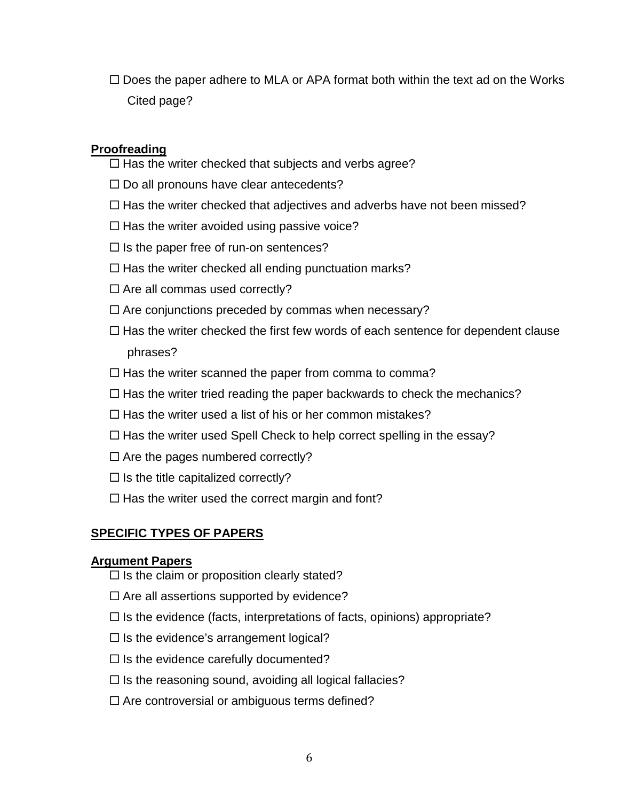$\Box$  Does the paper adhere to MLA or APA format both within the text ad on the Works Cited page?

## **Proofreading**

- $\Box$  Has the writer checked that subjects and verbs agree?
- $\Box$  Do all pronouns have clear antecedents?
- $\Box$  Has the writer checked that adjectives and adverbs have not been missed?
- $\Box$  Has the writer avoided using passive voice?
- $\Box$  Is the paper free of run-on sentences?
- $\Box$  Has the writer checked all ending punctuation marks?
- $\Box$  Are all commas used correctly?
- $\Box$  Are conjunctions preceded by commas when necessary?
- $\Box$  Has the writer checked the first few words of each sentence for dependent clause phrases?
- $\Box$  Has the writer scanned the paper from comma to comma?
- $\Box$  Has the writer tried reading the paper backwards to check the mechanics?
- $\Box$  Has the writer used a list of his or her common mistakes?
- $\Box$  Has the writer used Spell Check to help correct spelling in the essay?
- $\Box$  Are the pages numbered correctly?
- $\Box$  Is the title capitalized correctly?
- $\Box$  Has the writer used the correct margin and font?

## **SPECIFIC TYPES OF PAPERS**

### **Argument Papers**

- $\Box$  Is the claim or proposition clearly stated?
- $\Box$  Are all assertions supported by evidence?
- $\Box$  Is the evidence (facts, interpretations of facts, opinions) appropriate?
- $\square$  Is the evidence's arrangement logical?
- $\square$  Is the evidence carefully documented?
- $\Box$  Is the reasoning sound, avoiding all logical fallacies?
- $\Box$  Are controversial or ambiguous terms defined?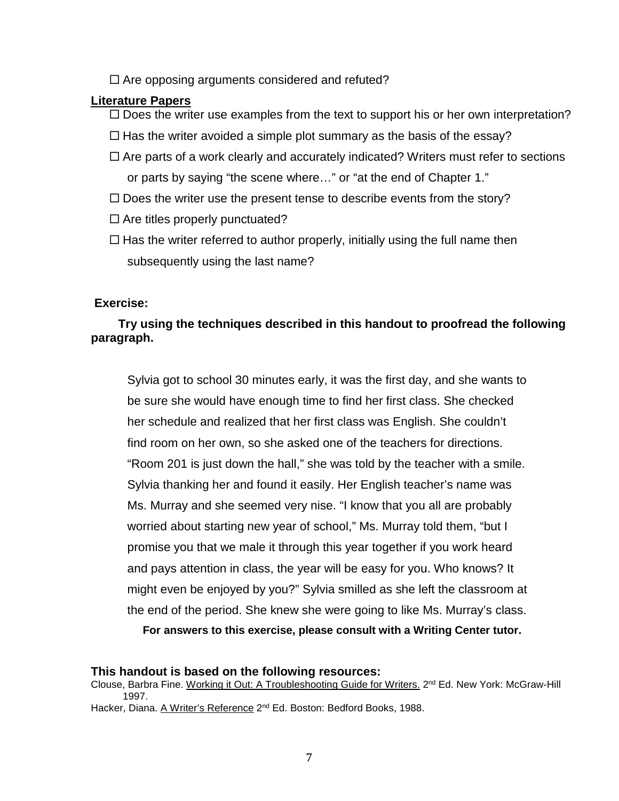$\Box$  Are opposing arguments considered and refuted?

#### **Literature Papers**

- $\Box$  Does the writer use examples from the text to support his or her own interpretation?
- $\Box$  Has the writer avoided a simple plot summary as the basis of the essay?
- $\Box$  Are parts of a work clearly and accurately indicated? Writers must refer to sections or parts by saying "the scene where…" or "at the end of Chapter 1."
- $\square$  Does the writer use the present tense to describe events from the story?
- $\Box$  Are titles properly punctuated?
- $\Box$  Has the writer referred to author properly, initially using the full name then subsequently using the last name?

### **Exercise:**

## **Try using the techniques described in this handout to proofread the following paragraph.**

Sylvia got to school 30 minutes early, it was the first day, and she wants to be sure she would have enough time to find her first class. She checked her schedule and realized that her first class was English. She couldn't find room on her own, so she asked one of the teachers for directions. "Room 201 is just down the hall," she was told by the teacher with a smile. Sylvia thanking her and found it easily. Her English teacher's name was Ms. Murray and she seemed very nise. "I know that you all are probably worried about starting new year of school," Ms. Murray told them, "but I promise you that we male it through this year together if you work heard and pays attention in class, the year will be easy for you. Who knows? It might even be enjoyed by you?" Sylvia smilled as she left the classroom at the end of the period. She knew she were going to like Ms. Murray's class.

**For answers to this exercise, please consult with a Writing Center tutor.**

#### **This handout is based on the following resources:**

Clouse, Barbra Fine. Working it Out: A Troubleshooting Guide for Writers. 2<sup>nd</sup> Ed. New York: McGraw-Hill 1997.

Hacker, Diana. A Writer's Reference 2<sup>nd</sup> Ed. Boston: Bedford Books, 1988.